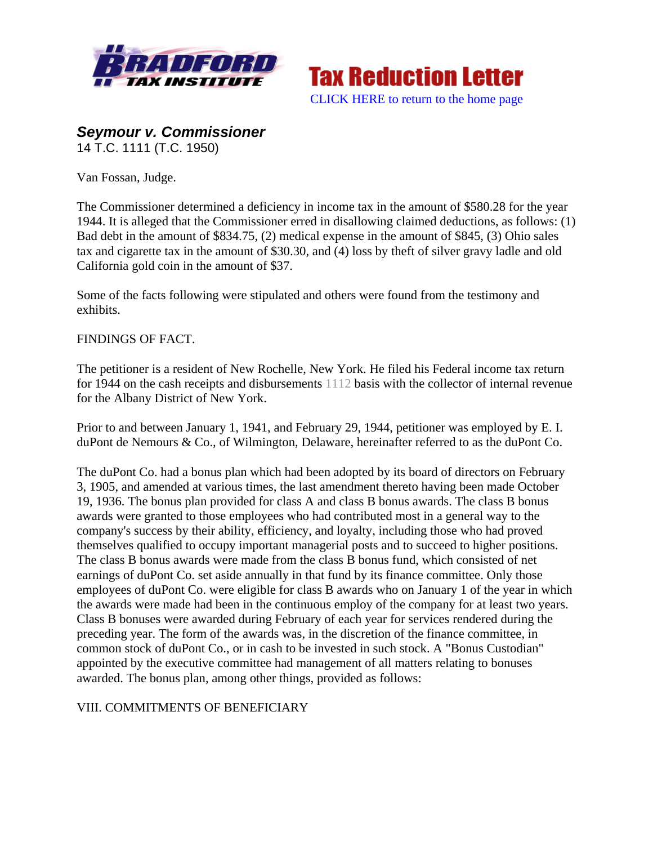



# *Seymour v. Commissioner*

14 T.C. 1111 (T.C. 1950)

Van Fossan, Judge.

The Commissioner determined a deficiency in income tax in the amount of \$580.28 for the year 1944. It is alleged that the Commissioner erred in disallowing claimed deductions, as follows: (1) Bad debt in the amount of \$834.75, (2) medical expense in the amount of \$845, (3) Ohio sales tax and cigarette tax in the amount of \$30.30, and (4) loss by theft of silver gravy ladle and old California gold coin in the amount of \$37.

Some of the facts following were stipulated and others were found from the testimony and exhibits.

#### FINDINGS OF FACT.

The petitioner is a resident of New Rochelle, New York. He filed his Federal income tax return for 1944 on the cash receipts and disbursements 1112 basis with the collector of internal revenue for the Albany District of New York.

Prior to and between January 1, 1941, and February 29, 1944, petitioner was employed by E. I. duPont de Nemours & Co., of Wilmington, Delaware, hereinafter referred to as the duPont Co.

The duPont Co. had a bonus plan which had been adopted by its board of directors on February 3, 1905, and amended at various times, the last amendment thereto having been made October 19, 1936. The bonus plan provided for class A and class B bonus awards. The class B bonus awards were granted to those employees who had contributed most in a general way to the company's success by their ability, efficiency, and loyalty, including those who had proved themselves qualified to occupy important managerial posts and to succeed to higher positions. The class B bonus awards were made from the class B bonus fund, which consisted of net earnings of duPont Co. set aside annually in that fund by its finance committee. Only those employees of duPont Co. were eligible for class B awards who on January 1 of the year in which the awards were made had been in the continuous employ of the company for at least two years. Class B bonuses were awarded during February of each year for services rendered during the preceding year. The form of the awards was, in the discretion of the finance committee, in common stock of duPont Co., or in cash to be invested in such stock. A "Bonus Custodian" appointed by the executive committee had management of all matters relating to bonuses awarded. The bonus plan, among other things, provided as follows:

## VIII. COMMITMENTS OF BENEFICIARY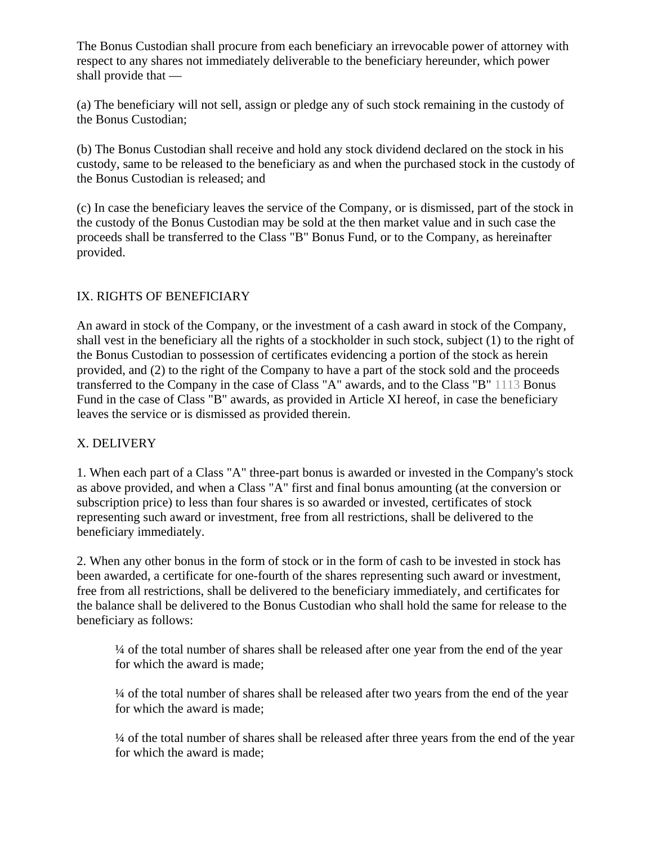The Bonus Custodian shall procure from each beneficiary an irrevocable power of attorney with respect to any shares not immediately deliverable to the beneficiary hereunder, which power shall provide that —

(a) The beneficiary will not sell, assign or pledge any of such stock remaining in the custody of the Bonus Custodian;

(b) The Bonus Custodian shall receive and hold any stock dividend declared on the stock in his custody, same to be released to the beneficiary as and when the purchased stock in the custody of the Bonus Custodian is released; and

(c) In case the beneficiary leaves the service of the Company, or is dismissed, part of the stock in the custody of the Bonus Custodian may be sold at the then market value and in such case the proceeds shall be transferred to the Class "B" Bonus Fund, or to the Company, as hereinafter provided.

# IX. RIGHTS OF BENEFICIARY

An award in stock of the Company, or the investment of a cash award in stock of the Company, shall vest in the beneficiary all the rights of a stockholder in such stock, subject (1) to the right of the Bonus Custodian to possession of certificates evidencing a portion of the stock as herein provided, and (2) to the right of the Company to have a part of the stock sold and the proceeds transferred to the Company in the case of Class "A" awards, and to the Class "B" 1113 Bonus Fund in the case of Class "B" awards, as provided in Article XI hereof, in case the beneficiary leaves the service or is dismissed as provided therein.

## X. DELIVERY

1. When each part of a Class "A" three-part bonus is awarded or invested in the Company's stock as above provided, and when a Class "A" first and final bonus amounting (at the conversion or subscription price) to less than four shares is so awarded or invested, certificates of stock representing such award or investment, free from all restrictions, shall be delivered to the beneficiary immediately.

2. When any other bonus in the form of stock or in the form of cash to be invested in stock has been awarded, a certificate for one-fourth of the shares representing such award or investment, free from all restrictions, shall be delivered to the beneficiary immediately, and certificates for the balance shall be delivered to the Bonus Custodian who shall hold the same for release to the beneficiary as follows:

¼ of the total number of shares shall be released after one year from the end of the year for which the award is made;

¼ of the total number of shares shall be released after two years from the end of the year for which the award is made;

¼ of the total number of shares shall be released after three years from the end of the year for which the award is made;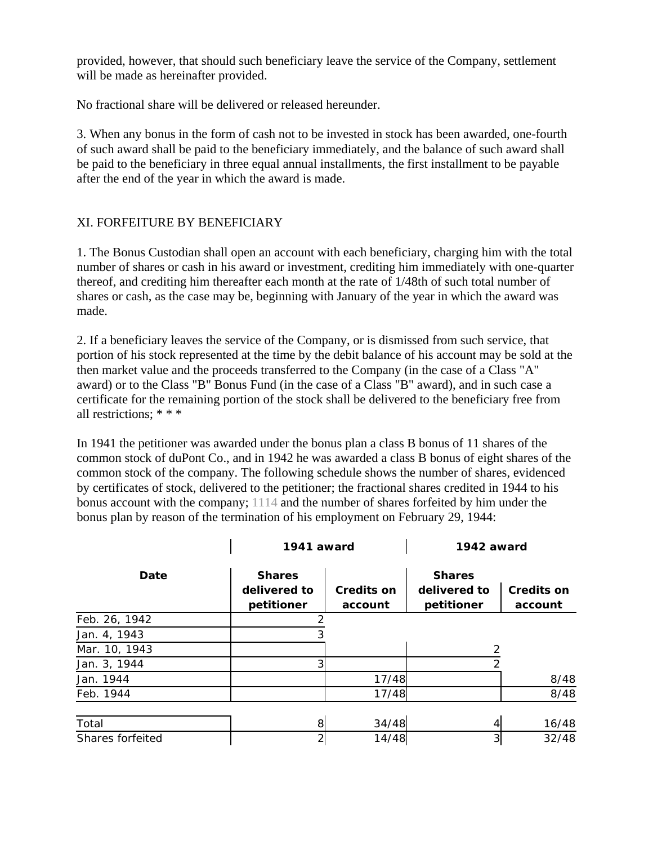provided, however, that should such beneficiary leave the service of the Company, settlement will be made as hereinafter provided.

No fractional share will be delivered or released hereunder.

3. When any bonus in the form of cash not to be invested in stock has been awarded, one-fourth of such award shall be paid to the beneficiary immediately, and the balance of such award shall be paid to the beneficiary in three equal annual installments, the first installment to be payable after the end of the year in which the award is made.

# XI. FORFEITURE BY BENEFICIARY

1. The Bonus Custodian shall open an account with each beneficiary, charging him with the total number of shares or cash in his award or investment, crediting him immediately with one-quarter thereof, and crediting him thereafter each month at the rate of 1/48th of such total number of shares or cash, as the case may be, beginning with January of the year in which the award was made.

2. If a beneficiary leaves the service of the Company, or is dismissed from such service, that portion of his stock represented at the time by the debit balance of his account may be sold at the then market value and the proceeds transferred to the Company (in the case of a Class "A" award) or to the Class "B" Bonus Fund (in the case of a Class "B" award), and in such case a certificate for the remaining portion of the stock shall be delivered to the beneficiary free from all restrictions; \* \* \*

In 1941 the petitioner was awarded under the bonus plan a class B bonus of 11 shares of the common stock of duPont Co., and in 1942 he was awarded a class B bonus of eight shares of the common stock of the company. The following schedule shows the number of shares, evidenced by certificates of stock, delivered to the petitioner; the fractional shares credited in 1944 to his bonus account with the company; 1114 and the number of shares forfeited by him under the bonus plan by reason of the termination of his employment on February 29, 1944:

|                  | 1941 award                                  |                              | 1942 award                                  |                              |
|------------------|---------------------------------------------|------------------------------|---------------------------------------------|------------------------------|
| Date             | <b>Shares</b><br>delivered to<br>petitioner | <b>Credits on</b><br>account | <b>Shares</b><br>delivered to<br>petitioner | <b>Credits on</b><br>account |
| Feb. 26, 1942    | っ                                           |                              |                                             |                              |
| Jan. 4, 1943     |                                             |                              |                                             |                              |
| Mar. 10, 1943    |                                             |                              |                                             |                              |
| Jan. 3, 1944     | 3                                           |                              | 2                                           |                              |
| Jan. 1944        |                                             | 17/48                        |                                             | 8/48                         |
| Feb. 1944        |                                             | 17/48                        |                                             | 8/48                         |
| Total            | 8                                           | 34/48                        | $\overline{4}$                              | 16/48                        |
| Shares forfeited | $\overline{2}$                              | 14/48                        | 3                                           | 32/48                        |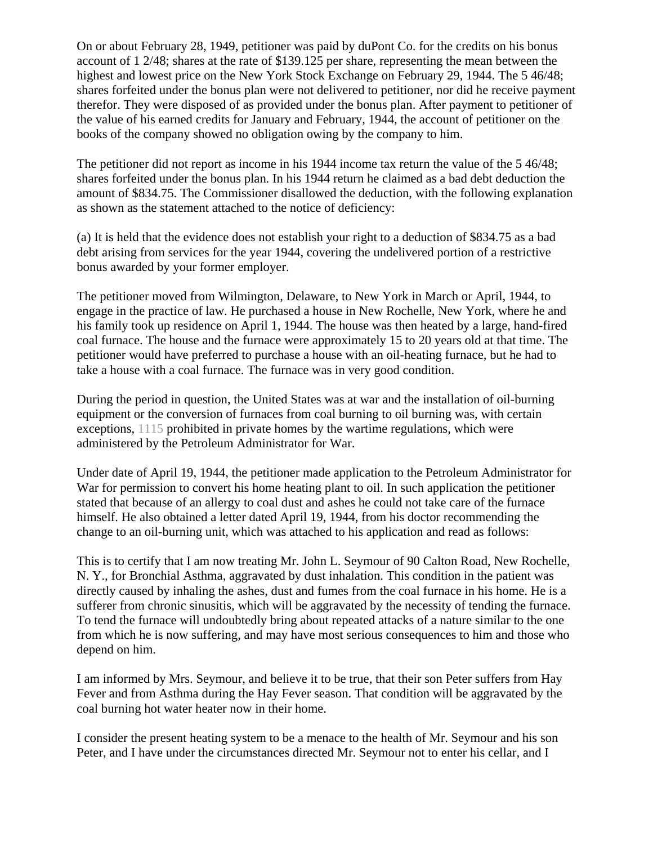On or about February 28, 1949, petitioner was paid by duPont Co. for the credits on his bonus account of 1 2/48; shares at the rate of \$139.125 per share, representing the mean between the highest and lowest price on the New York Stock Exchange on February 29, 1944. The 5 46/48; shares forfeited under the bonus plan were not delivered to petitioner, nor did he receive payment therefor. They were disposed of as provided under the bonus plan. After payment to petitioner of the value of his earned credits for January and February, 1944, the account of petitioner on the books of the company showed no obligation owing by the company to him.

The petitioner did not report as income in his 1944 income tax return the value of the 5 46/48; shares forfeited under the bonus plan. In his 1944 return he claimed as a bad debt deduction the amount of \$834.75. The Commissioner disallowed the deduction, with the following explanation as shown as the statement attached to the notice of deficiency:

(a) It is held that the evidence does not establish your right to a deduction of \$834.75 as a bad debt arising from services for the year 1944, covering the undelivered portion of a restrictive bonus awarded by your former employer.

The petitioner moved from Wilmington, Delaware, to New York in March or April, 1944, to engage in the practice of law. He purchased a house in New Rochelle, New York, where he and his family took up residence on April 1, 1944. The house was then heated by a large, hand-fired coal furnace. The house and the furnace were approximately 15 to 20 years old at that time. The petitioner would have preferred to purchase a house with an oil-heating furnace, but he had to take a house with a coal furnace. The furnace was in very good condition.

During the period in question, the United States was at war and the installation of oil-burning equipment or the conversion of furnaces from coal burning to oil burning was, with certain exceptions, 1115 prohibited in private homes by the wartime regulations, which were administered by the Petroleum Administrator for War.

Under date of April 19, 1944, the petitioner made application to the Petroleum Administrator for War for permission to convert his home heating plant to oil. In such application the petitioner stated that because of an allergy to coal dust and ashes he could not take care of the furnace himself. He also obtained a letter dated April 19, 1944, from his doctor recommending the change to an oil-burning unit, which was attached to his application and read as follows:

This is to certify that I am now treating Mr. John L. Seymour of 90 Calton Road, New Rochelle, N. Y., for Bronchial Asthma, aggravated by dust inhalation. This condition in the patient was directly caused by inhaling the ashes, dust and fumes from the coal furnace in his home. He is a sufferer from chronic sinusitis, which will be aggravated by the necessity of tending the furnace. To tend the furnace will undoubtedly bring about repeated attacks of a nature similar to the one from which he is now suffering, and may have most serious consequences to him and those who depend on him.

I am informed by Mrs. Seymour, and believe it to be true, that their son Peter suffers from Hay Fever and from Asthma during the Hay Fever season. That condition will be aggravated by the coal burning hot water heater now in their home.

I consider the present heating system to be a menace to the health of Mr. Seymour and his son Peter, and I have under the circumstances directed Mr. Seymour not to enter his cellar, and I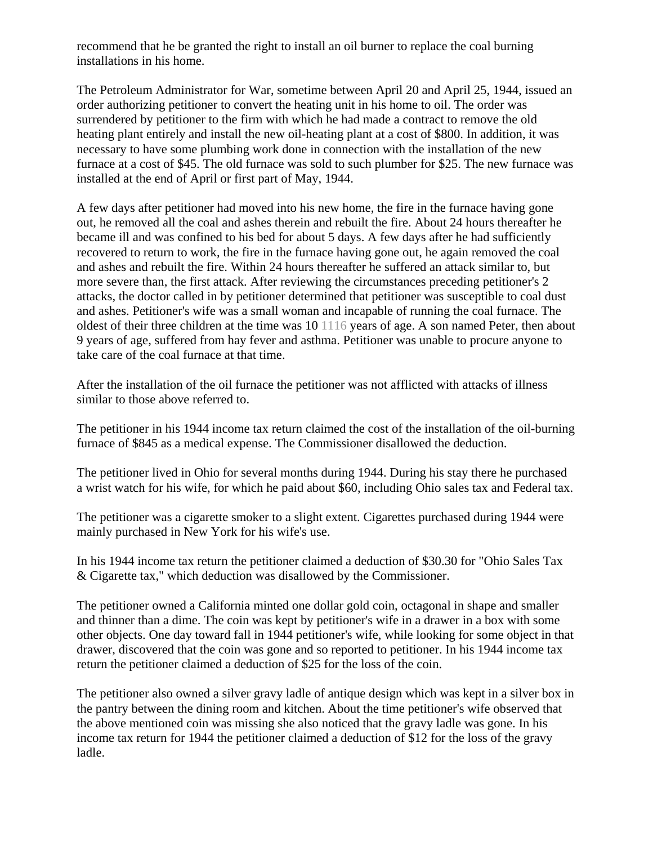recommend that he be granted the right to install an oil burner to replace the coal burning installations in his home.

The Petroleum Administrator for War, sometime between April 20 and April 25, 1944, issued an order authorizing petitioner to convert the heating unit in his home to oil. The order was surrendered by petitioner to the firm with which he had made a contract to remove the old heating plant entirely and install the new oil-heating plant at a cost of \$800. In addition, it was necessary to have some plumbing work done in connection with the installation of the new furnace at a cost of \$45. The old furnace was sold to such plumber for \$25. The new furnace was installed at the end of April or first part of May, 1944.

A few days after petitioner had moved into his new home, the fire in the furnace having gone out, he removed all the coal and ashes therein and rebuilt the fire. About 24 hours thereafter he became ill and was confined to his bed for about 5 days. A few days after he had sufficiently recovered to return to work, the fire in the furnace having gone out, he again removed the coal and ashes and rebuilt the fire. Within 24 hours thereafter he suffered an attack similar to, but more severe than, the first attack. After reviewing the circumstances preceding petitioner's 2 attacks, the doctor called in by petitioner determined that petitioner was susceptible to coal dust and ashes. Petitioner's wife was a small woman and incapable of running the coal furnace. The oldest of their three children at the time was 10 1116 years of age. A son named Peter, then about 9 years of age, suffered from hay fever and asthma. Petitioner was unable to procure anyone to take care of the coal furnace at that time.

After the installation of the oil furnace the petitioner was not afflicted with attacks of illness similar to those above referred to.

The petitioner in his 1944 income tax return claimed the cost of the installation of the oil-burning furnace of \$845 as a medical expense. The Commissioner disallowed the deduction.

The petitioner lived in Ohio for several months during 1944. During his stay there he purchased a wrist watch for his wife, for which he paid about \$60, including Ohio sales tax and Federal tax.

The petitioner was a cigarette smoker to a slight extent. Cigarettes purchased during 1944 were mainly purchased in New York for his wife's use.

In his 1944 income tax return the petitioner claimed a deduction of \$30.30 for "Ohio Sales Tax & Cigarette tax," which deduction was disallowed by the Commissioner.

The petitioner owned a California minted one dollar gold coin, octagonal in shape and smaller and thinner than a dime. The coin was kept by petitioner's wife in a drawer in a box with some other objects. One day toward fall in 1944 petitioner's wife, while looking for some object in that drawer, discovered that the coin was gone and so reported to petitioner. In his 1944 income tax return the petitioner claimed a deduction of \$25 for the loss of the coin.

The petitioner also owned a silver gravy ladle of antique design which was kept in a silver box in the pantry between the dining room and kitchen. About the time petitioner's wife observed that the above mentioned coin was missing she also noticed that the gravy ladle was gone. In his income tax return for 1944 the petitioner claimed a deduction of \$12 for the loss of the gravy ladle.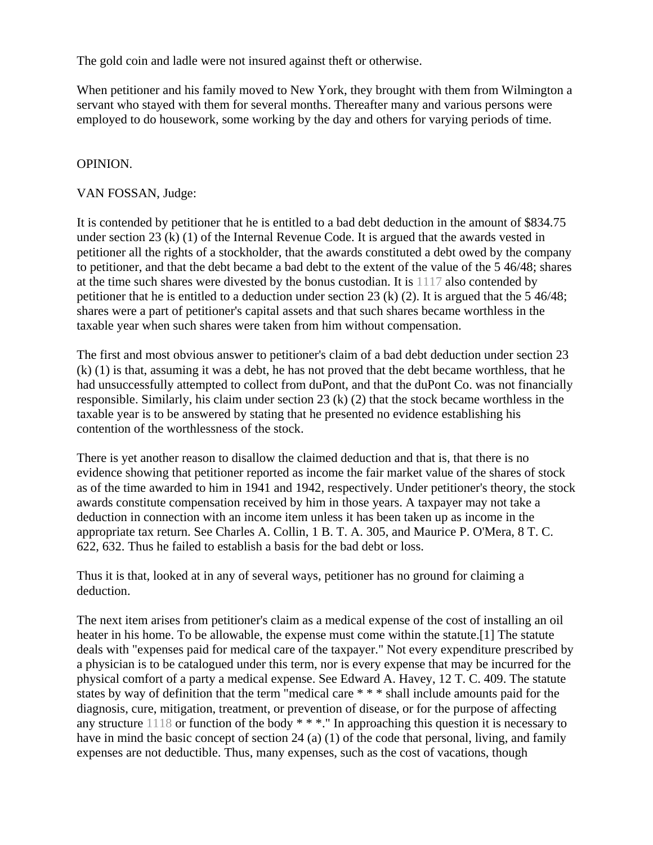The gold coin and ladle were not insured against theft or otherwise.

When petitioner and his family moved to New York, they brought with them from Wilmington a servant who stayed with them for several months. Thereafter many and various persons were employed to do housework, some working by the day and others for varying periods of time.

## OPINION.

#### VAN FOSSAN, Judge:

It is contended by petitioner that he is entitled to a bad debt deduction in the amount of \$834.75 under section 23 (k) (1) of the Internal Revenue Code. It is argued that the awards vested in petitioner all the rights of a stockholder, that the awards constituted a debt owed by the company to petitioner, and that the debt became a bad debt to the extent of the value of the 5 46/48; shares at the time such shares were divested by the bonus custodian. It is 1117 also contended by petitioner that he is entitled to a deduction under section 23 (k) (2). It is argued that the 5 46/48; shares were a part of petitioner's capital assets and that such shares became worthless in the taxable year when such shares were taken from him without compensation.

The first and most obvious answer to petitioner's claim of a bad debt deduction under section 23 (k) (1) is that, assuming it was a debt, he has not proved that the debt became worthless, that he had unsuccessfully attempted to collect from duPont, and that the duPont Co. was not financially responsible. Similarly, his claim under section 23 (k) (2) that the stock became worthless in the taxable year is to be answered by stating that he presented no evidence establishing his contention of the worthlessness of the stock.

There is yet another reason to disallow the claimed deduction and that is, that there is no evidence showing that petitioner reported as income the fair market value of the shares of stock as of the time awarded to him in 1941 and 1942, respectively. Under petitioner's theory, the stock awards constitute compensation received by him in those years. A taxpayer may not take a deduction in connection with an income item unless it has been taken up as income in the appropriate tax return. See Charles A. Collin, 1 B. T. A. 305, and Maurice P. O'Mera, 8 T. C. 622, 632. Thus he failed to establish a basis for the bad debt or loss.

Thus it is that, looked at in any of several ways, petitioner has no ground for claiming a deduction.

The next item arises from petitioner's claim as a medical expense of the cost of installing an oil heater in his home. To be allowable, the expense must come within the statute.[1] The statute deals with "expenses paid for medical care of the taxpayer." Not every expenditure prescribed by a physician is to be catalogued under this term, nor is every expense that may be incurred for the physical comfort of a party a medical expense. See Edward A. Havey, 12 T. C. 409. The statute states by way of definition that the term "medical care \* \* \* shall include amounts paid for the diagnosis, cure, mitigation, treatment, or prevention of disease, or for the purpose of affecting any structure 1118 or function of the body \* \* \*." In approaching this question it is necessary to have in mind the basic concept of section 24 (a) (1) of the code that personal, living, and family expenses are not deductible. Thus, many expenses, such as the cost of vacations, though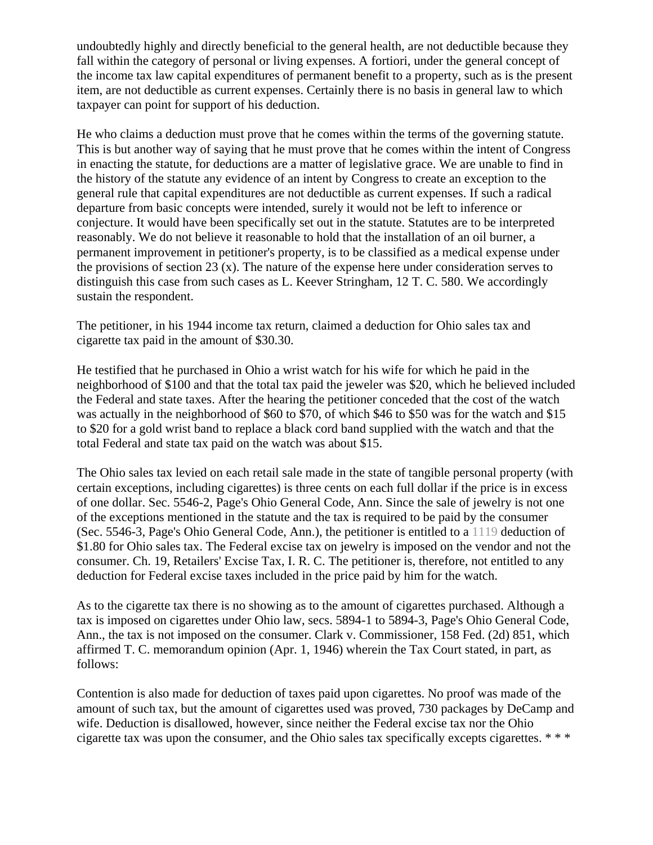undoubtedly highly and directly beneficial to the general health, are not deductible because they fall within the category of personal or living expenses. A fortiori, under the general concept of the income tax law capital expenditures of permanent benefit to a property, such as is the present item, are not deductible as current expenses. Certainly there is no basis in general law to which taxpayer can point for support of his deduction.

He who claims a deduction must prove that he comes within the terms of the governing statute. This is but another way of saying that he must prove that he comes within the intent of Congress in enacting the statute, for deductions are a matter of legislative grace. We are unable to find in the history of the statute any evidence of an intent by Congress to create an exception to the general rule that capital expenditures are not deductible as current expenses. If such a radical departure from basic concepts were intended, surely it would not be left to inference or conjecture. It would have been specifically set out in the statute. Statutes are to be interpreted reasonably. We do not believe it reasonable to hold that the installation of an oil burner, a permanent improvement in petitioner's property, is to be classified as a medical expense under the provisions of section 23 (x). The nature of the expense here under consideration serves to distinguish this case from such cases as L. Keever Stringham, 12 T. C. 580. We accordingly sustain the respondent.

The petitioner, in his 1944 income tax return, claimed a deduction for Ohio sales tax and cigarette tax paid in the amount of \$30.30.

He testified that he purchased in Ohio a wrist watch for his wife for which he paid in the neighborhood of \$100 and that the total tax paid the jeweler was \$20, which he believed included the Federal and state taxes. After the hearing the petitioner conceded that the cost of the watch was actually in the neighborhood of \$60 to \$70, of which \$46 to \$50 was for the watch and \$15 to \$20 for a gold wrist band to replace a black cord band supplied with the watch and that the total Federal and state tax paid on the watch was about \$15.

The Ohio sales tax levied on each retail sale made in the state of tangible personal property (with certain exceptions, including cigarettes) is three cents on each full dollar if the price is in excess of one dollar. Sec. 5546-2, Page's Ohio General Code, Ann. Since the sale of jewelry is not one of the exceptions mentioned in the statute and the tax is required to be paid by the consumer (Sec. 5546-3, Page's Ohio General Code, Ann.), the petitioner is entitled to a 1119 deduction of \$1.80 for Ohio sales tax. The Federal excise tax on jewelry is imposed on the vendor and not the consumer. Ch. 19, Retailers' Excise Tax, I. R. C. The petitioner is, therefore, not entitled to any deduction for Federal excise taxes included in the price paid by him for the watch.

As to the cigarette tax there is no showing as to the amount of cigarettes purchased. Although a tax is imposed on cigarettes under Ohio law, secs. 5894-1 to 5894-3, Page's Ohio General Code, Ann., the tax is not imposed on the consumer. Clark v. Commissioner, 158 Fed. (2d) 851, which affirmed T. C. memorandum opinion (Apr. 1, 1946) wherein the Tax Court stated, in part, as follows:

Contention is also made for deduction of taxes paid upon cigarettes. No proof was made of the amount of such tax, but the amount of cigarettes used was proved, 730 packages by DeCamp and wife. Deduction is disallowed, however, since neither the Federal excise tax nor the Ohio cigarette tax was upon the consumer, and the Ohio sales tax specifically excepts cigarettes. \* \* \*